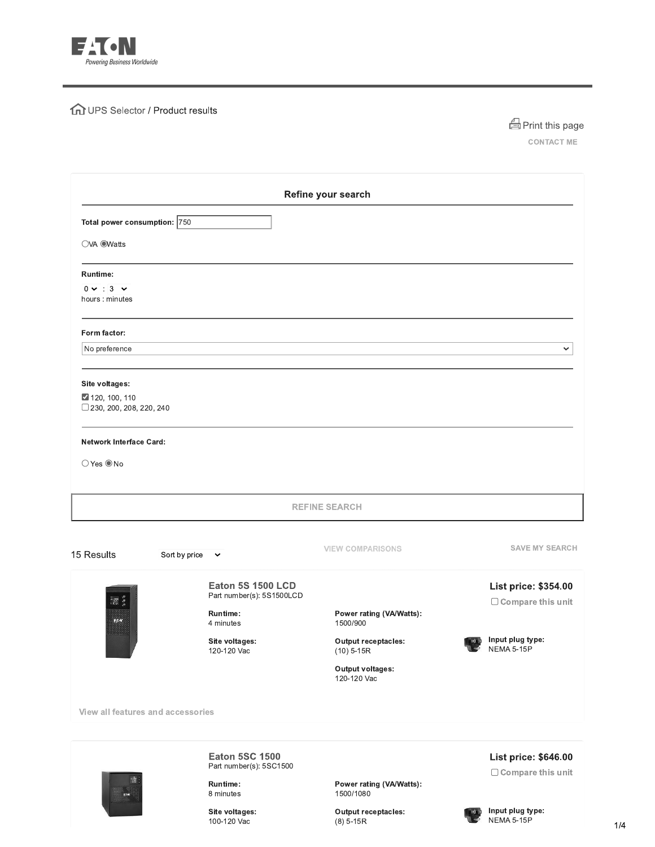

## **fm** UPS Selector / Product results



CONTACT ME

|                                                                     |                                                       | Refine your search                         |                                                        |
|---------------------------------------------------------------------|-------------------------------------------------------|--------------------------------------------|--------------------------------------------------------|
| Total power consumption: 750                                        |                                                       |                                            |                                                        |
| OVA OWatts                                                          |                                                       |                                            |                                                        |
| Runtime:                                                            |                                                       |                                            |                                                        |
| $0 \vee 3 \vee$<br>hours : minutes                                  |                                                       |                                            |                                                        |
| Form factor:                                                        |                                                       |                                            |                                                        |
| No preference                                                       |                                                       |                                            | ◡                                                      |
| Site voltages:<br>2 120, 100, 110<br>$\Box$ 230, 200, 208, 220, 240 |                                                       |                                            |                                                        |
| <b>Network Interface Card:</b><br>○ Yes ● No                        |                                                       |                                            |                                                        |
|                                                                     |                                                       | <b>REFINE SEARCH</b>                       |                                                        |
| 15 Results                                                          | Sort by price<br>$\sim$                               | <b>VIEW COMPARISONS</b>                    | <b>SAVE MY SEARCH</b>                                  |
|                                                                     | <b>Eaton 5S 1500 LCD</b><br>Part number(s): 5S1500LCD |                                            | List price: \$354.00                                   |
| $\frac{1}{120}$<br>$\frac{1}{2}$                                    | Runtime:<br>4 minutes                                 | Power rating (VA/Watts):<br>1500/900       | $\Box$ Compare this unit                               |
| 8888                                                                | Site voltages:<br>120-120 Vac                         | <b>Output receptacles:</b><br>$(10)$ 5-15R | Input plug type:<br><b>K)</b> (3)<br><b>NEMA 5-15P</b> |
|                                                                     |                                                       | Output voltages:<br>120-120 Vac            |                                                        |
| View all features and accessories                                   |                                                       |                                            |                                                        |
|                                                                     | <b>Eaton 5SC 1500</b><br>Part number(s): 5SC1500      |                                            | List price: \$646.00                                   |
|                                                                     | Runtime:<br>8 minutes                                 | Power rating (VA/Watts):<br>1500/1080      | $\Box$ Compare this unit                               |
|                                                                     | Site voltages:<br>100-120 Vac                         | <b>Output receptacles:</b><br>$(8)$ 5-15R  | Input plug type:<br>NEMA 5-15P                         |

 $1/4$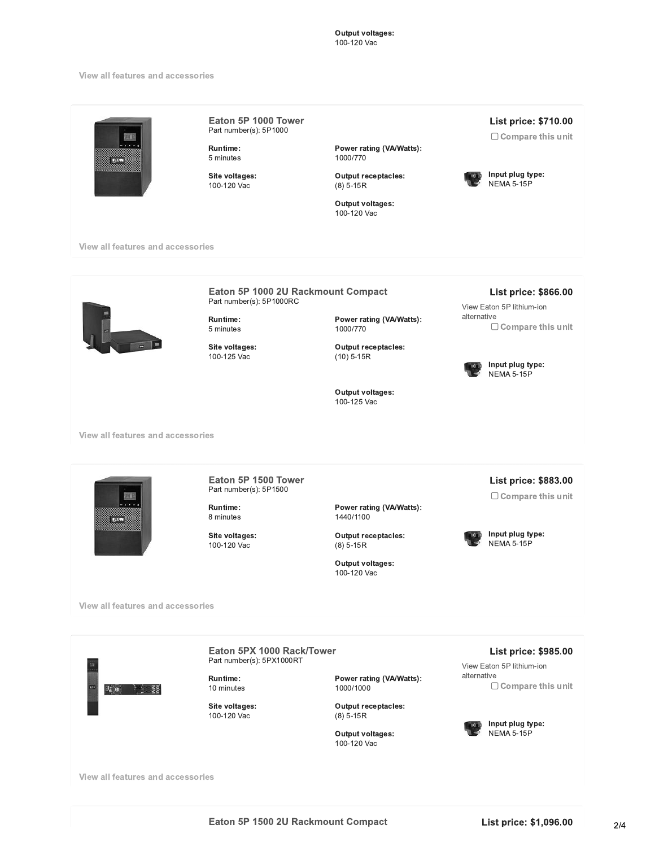## **Output voltages:** 100-120 Vac

## view all features and accessories

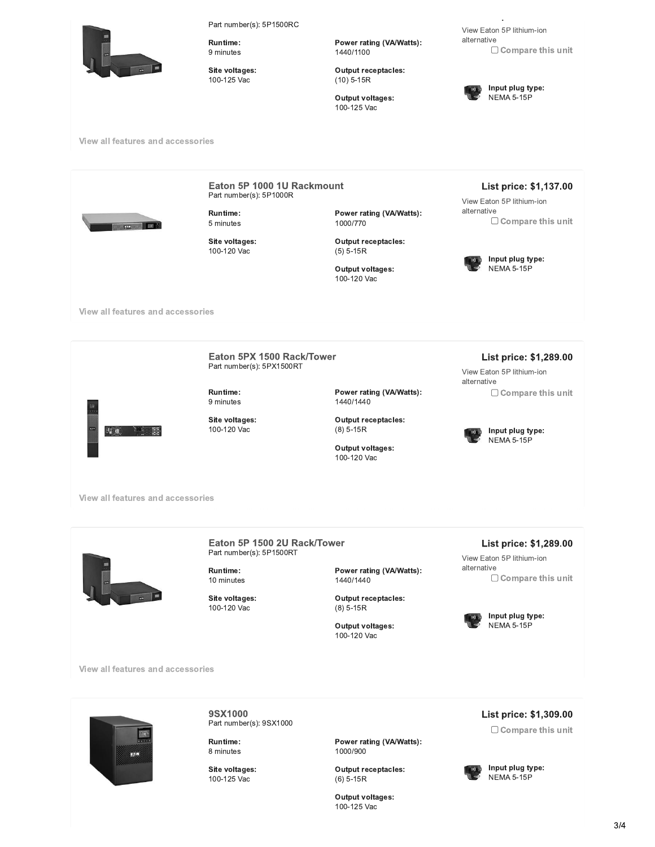Part number(s): 5P1500RC



Runtime: 9 minutes

Part number(s): 5P1500RC<br>
Runtime:<br>
9 minutes<br>
Site voltages:<br>
100-125 Vac<br>
cessories 100-125 Vac

View East<br>
Power rating (VA/Watts):<br>
1440/1100<br>
Output receptacles:<br>
(10) 5-15R<br>
Output voltages:<br>
100-125 Vac 1440/1100 Vie<br>
Power rating (VA/Watts):<br>
1440/1100<br>
Output receptacles:<br>
(10) 5-15R<br>
Output voltages:<br>
100-125 Vac

 $(10)$  5-15R

100-125 Vac



Input plug type: **NEMA 5-15P** 



Runtime: 10 minutes

100-120 Vac

1440/1440 Power rating (VA/Watts):<br>1440/1440<br>Output receptacles:<br>(8) 5-15R<br>Output voltages:<br>100-120 Vac

 $(8)$  5-15R

100-120 Vac

View Eaton 5P lithium-ion alternative<br>
Compare this unit





**9SX1000**<br>Part number(s): 9SX1000 9SX1000<br>Part number(s): 9SX1000<br>Runtime:<br>8 minutes<br>Site voltages:<br>100-125 Vac

Runtime: 8 minutes

100-125 Vac

L<br>
Power rating (VA/Watts):<br>
1000/900<br>
Output receptacles:<br>
(6) 5-15R<br>
Output voltages:<br>
100-125 Vac 1000\900 Power rating (VA/Watts):<br>1000/900<br>Output receptacles:<br>(6) 5-15R<br>Output voltages:<br>100-125 Vac Power rating (VA/Watts):<br>1000/900<br>Output receptacles:<br>(6) 5-15R<br>Output voltages:<br>100-125 Vac

 $(6)$  5-15R

100-125 Vac